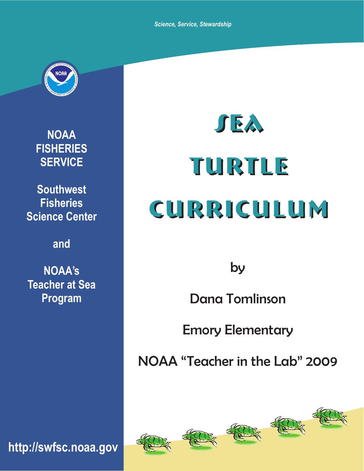*Science, Service, Stewardship*



**NOAA FISHERIES SERVICE**

**Southwest Fisheries Science Center**

**and**

**NOAA's Teacher at Sea Program**

Turtle Turtle Curriculum Curriculum

Sea Sea

by

Dana Tomlinson

Emory Elementary

NOAA "Teacher in the Lab" 2009



**http://swfsc.noaa.gov**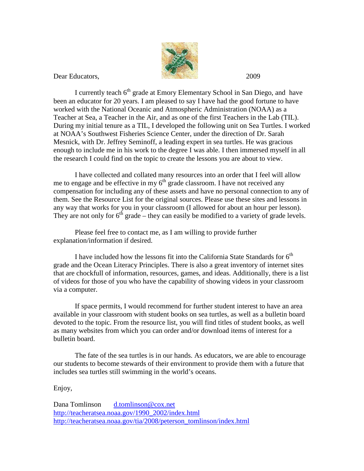

Dear Educators, 2009

I currently teach 6<sup>th</sup> grade at Emory Elementary School in San Diego, and have been an educator for 20 years. I am pleased to say I have had the good fortune to have worked with the National Oceanic and Atmospheric Administration (NOAA) as a Teacher at Sea, a Teacher in the Air, and as one of the first Teachers in the Lab (TIL). During my initial tenure as a TIL, I developed the following unit on Sea Turtles. I worked at NOAA's Southwest Fisheries Science Center, under the direction of Dr. Sarah Mesnick, with Dr. Jeffrey Seminoff, a leading expert in sea turtles. He was gracious enough to include me in his work to the degree I was able. I then immersed myself in all the research I could find on the topic to create the lessons you are about to view.

I have collected and collated many resources into an order that I feel will allow me to engage and be effective in my  $6<sup>th</sup>$  grade classroom. I have not received any compensation for including any of these assets and have no personal connection to any of them. See the Resource List for the original sources. Please use these sites and lessons in any way that works for you in your classroom (I allowed for about an hour per lesson). They are not only for  $6<sup>th</sup>$  grade – they can easily be modified to a variety of grade levels.

Please feel free to contact me, as I am willing to provide further explanation/information if desired.

I have included how the lessons fit into the California State Standards for  $6<sup>th</sup>$ grade and the Ocean Literacy Principles. There is also a great inventory of internet sites that are chockfull of information, resources, games, and ideas. Additionally, there is a list of videos for those of you who have the capability of showing videos in your classroom via a computer.

If space permits, I would recommend for further student interest to have an area available in your classroom with student books on sea turtles, as well as a bulletin board devoted to the topic. From the resource list, you will find titles of student books, as well as many websites from which you can order and/or download items of interest for a bulletin board.

The fate of the sea turtles is in our hands. As educators, we are able to encourage our students to become stewards of their environment to provide them with a future that includes sea turtles still swimming in the world's oceans.

Enjoy,

Dana Tomlinson [d.tomlinson@cox.net](mailto:d.tomlinson@cox.net) [http://teacheratsea.noaa.gov/1990\\_2002/index.html](http://teacheratsea.noaa.gov/1990_2002/index.html) [http://teacheratsea.noaa.gov/tia/2008/peterson\\_tomlinson/index.html](http://teacheratsea.noaa.gov/tia/2008/peterson_tomlinson/index.html)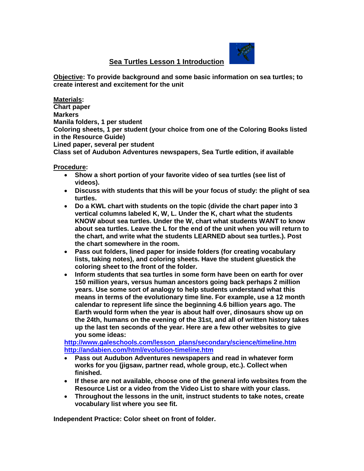**Sea Turtles Lesson 1 Introduction** 



**Objective: To provide background and some basic information on sea turtles; to create interest and excitement for the unit**

**Materials: Chart paper Markers Manila folders, 1 per student Coloring sheets, 1 per student (your choice from one of the Coloring Books listed in the Resource Guide) Lined paper, several per student Class set of Audubon Adventures newspapers, Sea Turtle edition, if available**

**Procedure:**

- **Show a short portion of your favorite video of sea turtles (see list of videos).**
- **Discuss with students that this will be your focus of study: the plight of sea turtles.**
- **Do a KWL chart with students on the topic (divide the chart paper into 3 vertical columns labeled K, W, L. Under the K, chart what the students KNOW about sea turtles. Under the W, chart what students WANT to know about sea turtles. Leave the L for the end of the unit when you will return to the chart, and write what the students LEARNED about sea turtles.). Post the chart somewhere in the room.**
- **Pass out folders, lined paper for inside folders (for creating vocabulary lists, taking notes), and coloring sheets. Have the student gluestick the coloring sheet to the front of the folder.**
- **Inform students that sea turtles in some form have been on earth for over 150 million years, versus human ancestors going back perhaps 2 million years. Use some sort of analogy to help students understand what this means in terms of the evolutionary time line. For example, use a 12 month calendar to represent life since the beginning 4.6 billion years ago. The Earth would form when the year is about half over, dinosaurs show up on the 24th, humans on the evening of the 31st, and all of written history takes up the last ten seconds of the year. Here are a few other websites to give you some ideas:**

**[http://www.galeschools.com/lesson\\_plans/secondary/science/timeline.htm](http://www.galeschools.com/lesson_plans/secondary/science/timeline.htm) <http://andabien.com/html/evolution-timeline.htm>**

- **Pass out Audubon Adventures newspapers and read in whatever form works for you (jigsaw, partner read, whole group, etc.). Collect when finished.**
- **If these are not available, choose one of the general info websites from the Resource List or a video from the Video List to share with your class.**
- **Throughout the lessons in the unit, instruct students to take notes, create vocabulary list where you see fit.**

**Independent Practice: Color sheet on front of folder.**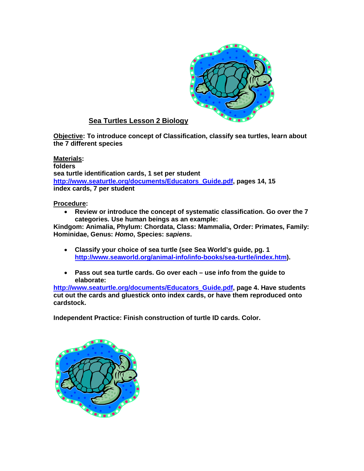

#### **Sea Turtles Lesson 2 Biology**

**Objective: To introduce concept of Classification, classify sea turtles, learn about the 7 different species**

**Materials: folders sea turtle identification cards, 1 set per student [http://www.seaturtle.org/documents/Educators\\_Guide.pdf,](http://www.seaturtle.org/documents/Educators_Guide.pdf) pages 14, 15 index cards, 7 per student**

#### **Procedure:**

• **Review or introduce the concept of systematic classification. Go over the 7 categories. Use human beings as an example:**

**Kindgom: Animalia, Phylum: Chordata, Class: Mammalia, Order: Primates, Family: Hominidae, Genus:** *Homo***, Species:** *sapiens***.**

- **Classify your choice of sea turtle (see Sea World's guide, pg. 1 [http://www.seaworld.org/animal-info/info-books/sea-turtle/index.htm\)](http://www.seaworld.org/animal-info/info-books/sea-turtle/index.htm).**
- **Pass out sea turtle cards. Go over each – use info from the guide to elaborate:**

**[http://www.seaturtle.org/documents/Educators\\_Guide.pdf,](http://www.seaturtle.org/documents/Educators_Guide.pdf) page 4. Have students cut out the cards and gluestick onto index cards, or have them reproduced onto cardstock.** 

**Independent Practice: Finish construction of turtle ID cards. Color.**

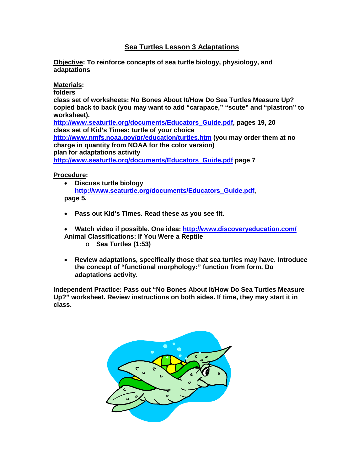#### **Sea Turtles Lesson 3 Adaptations**

**Objective: To reinforce concepts of sea turtle biology, physiology, and adaptations**

#### **Materials:**

**folders**

**class set of worksheets: No Bones About It/How Do Sea Turtles Measure Up? copied back to back (you may want to add "carapace," "scute" and "plastron" to worksheet).**

**[http://www.seaturtle.org/documents/Educators\\_Guide.pdf,](http://www.seaturtle.org/documents/Educators_Guide.pdf) pages 19, 20 class set of Kid's Times: turtle of your choice <http://www.nmfs.noaa.gov/pr/education/turtles.htm> (you may order them at no charge in quantity from NOAA for the color version) plan for adaptations activity [http://www.seaturtle.org/documents/Educators\\_Guide.pdf](http://www.seaturtle.org/documents/Educators_Guide.pdf) page 7**

**Procedure:**

- **Discuss turtle biology [http://www.seaturtle.org/documents/Educators\\_Guide.pdf,](http://www.seaturtle.org/documents/Educators_Guide.pdf) page 5.**
- **Pass out Kid's Times. Read these as you see fit.**

• **Watch video if possible. One idea:<http://www.discoveryeducation.com/> Animal Classifications: If You Were a Reptile**

- o **Sea Turtles (1:53)**
- **Review adaptations, specifically those that sea turtles may have. Introduce the concept of "functional morphology:" function from form. Do adaptations activity.**

**Independent Practice: Pass out "No Bones About It/How Do Sea Turtles Measure Up?" worksheet. Review instructions on both sides. If time, they may start it in class.**

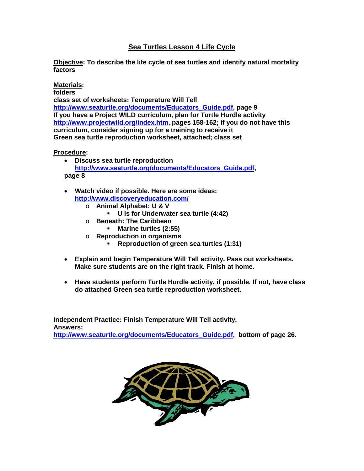#### **Sea Turtles Lesson 4 Life Cycle**

**Objective: To describe the life cycle of sea turtles and identify natural mortality factors** 

#### **Materials:**

**folders**

**class set of worksheets: Temperature Will Tell [http://www.seaturtle.org/documents/Educators\\_Guide.pdf,](http://www.seaturtle.org/documents/Educators_Guide.pdf) page 9 If you have a Project WILD curriculum, plan for Turtle Hurdle activity [http://www.projectwild.org/index.htm,](http://www.projectwild.org/index.htm) pages 158-162; if you do not have this curriculum, consider signing up for a training to receive it Green sea turtle reproduction worksheet, attached; class set**

**Procedure:**

- **Discuss sea turtle reproduction [http://www.seaturtle.org/documents/Educators\\_Guide.pdf,](http://www.seaturtle.org/documents/Educators_Guide.pdf) page 8**
- **Watch video if possible. Here are some ideas: <http://www.discoveryeducation.com/>**
	- o **Animal Alphabet: U & V** 
		- **U is for Underwater sea turtle (4:42)**
	- o **Beneath: The Caribbean**
		- **Marine turtles (2:55)**
	- o **Reproduction in organisms**
		- **Reproduction of green sea turtles (1:31)**
- **Explain and begin Temperature Will Tell activity. Pass out worksheets. Make sure students are on the right track. Finish at home.**
- **Have students perform Turtle Hurdle activity, if possible. If not, have class do attached Green sea turtle reproduction worksheet.**

**Independent Practice: Finish Temperature Will Tell activity. Answers: [http://www.seaturtle.org/documents/Educators\\_Guide.pdf,](http://www.seaturtle.org/documents/Educators_Guide.pdf) bottom of page 26.**

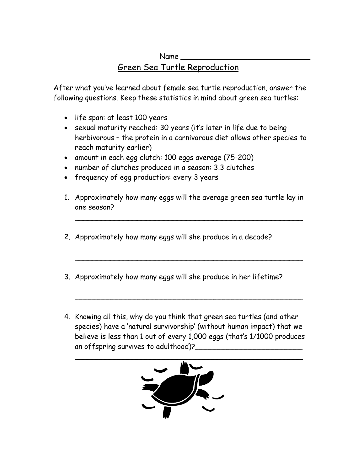# Name \_\_\_\_\_\_\_\_\_\_\_\_\_\_\_\_\_\_\_\_\_\_\_\_\_\_\_\_\_ Green Sea Turtle Reproduction

After what you've learned about female sea turtle reproduction, answer the following questions. Keep these statistics in mind about green sea turtles:

- life span: at least 100 years
- sexual maturity reached: 30 years (it's later in life due to being herbivorous – the protein in a carnivorous diet allows other species to reach maturity earlier)
- amount in each egg clutch: 100 eggs average (75-200)
- number of clutches produced in a season: 3.3 clutches
- frequency of egg production: every 3 years
- 1. Approximately how many eggs will the average green sea turtle lay in one season?

\_\_\_\_\_\_\_\_\_\_\_\_\_\_\_\_\_\_\_\_\_\_\_\_\_\_\_\_\_\_\_\_\_\_\_\_\_\_\_\_\_\_\_\_\_\_\_\_\_\_\_

\_\_\_\_\_\_\_\_\_\_\_\_\_\_\_\_\_\_\_\_\_\_\_\_\_\_\_\_\_\_\_\_\_\_\_\_\_\_\_\_\_\_\_\_\_\_\_\_\_\_\_

\_\_\_\_\_\_\_\_\_\_\_\_\_\_\_\_\_\_\_\_\_\_\_\_\_\_\_\_\_\_\_\_\_\_\_\_\_\_\_\_\_\_\_\_\_\_\_\_\_\_\_

- 2. Approximately how many eggs will she produce in a decade?
- 3. Approximately how many eggs will she produce in her lifetime?
- 4. Knowing all this, why do you think that green sea turtles (and other species) have a 'natural survivorship' (without human impact) that we believe is less than 1 out of every 1,000 eggs (that's 1/1000 produces an offspring survives to adulthood)?

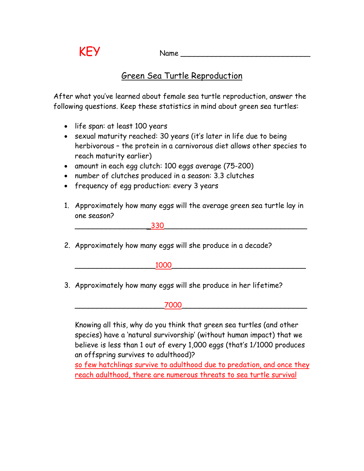# $KEY$  Name  $\frac{1}{2}$

# Green Sea Turtle Reproduction

After what you've learned about female sea turtle reproduction, answer the following questions. Keep these statistics in mind about green sea turtles:

- life span: at least 100 years
- sexual maturity reached: 30 years (it's later in life due to being herbivorous – the protein in a carnivorous diet allows other species to reach maturity earlier)
- amount in each egg clutch: 100 eggs average (75-200)
- number of clutches produced in a season: 3.3 clutches
- frequency of egg production: every 3 years
- 1. Approximately how many eggs will the average green sea turtle lay in one season?

| --- |  |
|-----|--|
|     |  |
|     |  |

2. Approximately how many eggs will she produce in a decade?

 $1000$ 

3. Approximately how many eggs will she produce in her lifetime?



Knowing all this, why do you think that green sea turtles (and other species) have a 'natural survivorship' (without human impact) that we believe is less than 1 out of every 1,000 eggs (that's 1/1000 produces an offspring survives to adulthood)?

so few hatchlings survive to adulthood due to predation, and once they reach adulthood, there are numerous threats to sea turtle survival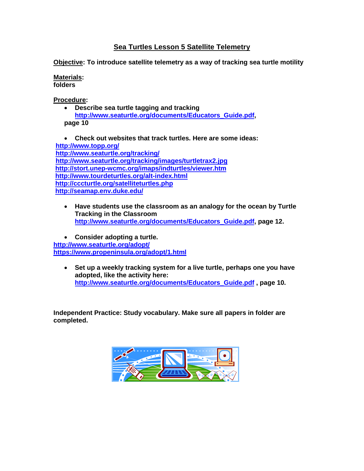#### **Sea Turtles Lesson 5 Satellite Telemetry**

**Objective: To introduce satellite telemetry as a way of tracking sea turtle motility** 

**Materials: folders**

**Procedure:**

• **Describe sea turtle tagging and tracking [http://www.seaturtle.org/documents/Educators\\_Guide.pdf,](http://www.seaturtle.org/documents/Educators_Guide.pdf) page 10**

• **Check out websites that track turtles. Here are some ideas: <http://www.topp.org/> <http://www.seaturtle.org/tracking/> <http://www.seaturtle.org/tracking/images/turtletrax2.jpg> <http://stort.unep-wcmc.org/imaps/indturtles/viewer.htm> <http://www.tourdeturtles.org/alt-index.html> <http://cccturtle.org/satelliteturtles.php> <http://seamap.env.duke.edu/>**

• **Have students use the classroom as an analogy for the ocean by Turtle Tracking in the Classroom [http://www.seaturtle.org/documents/Educators\\_Guide.pdf,](http://www.seaturtle.org/documents/Educators_Guide.pdf) page 12.**

• **Consider adopting a turtle. <http://www.seaturtle.org/adopt/> <https://www.propeninsula.org/adopt/1.html>**

• **Set up a weekly tracking system for a live turtle, perhaps one you have adopted, like the activity here: [http://www.seaturtle.org/documents/Educators\\_Guide.pdf](http://www.seaturtle.org/documents/Educators_Guide.pdf) , page 10.** 

**Independent Practice: Study vocabulary. Make sure all papers in folder are completed.**

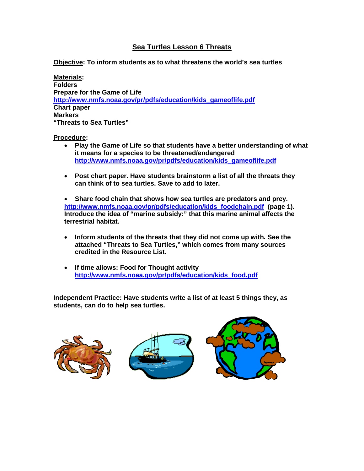#### **Sea Turtles Lesson 6 Threats**

**Objective: To inform students as to what threatens the world's sea turtles** 

**Materials: Folders Prepare for the Game of Life [http://www.nmfs.noaa.gov/pr/pdfs/education/kids\\_gameoflife.pdf](http://www.nmfs.noaa.gov/pr/pdfs/education/kids_gameoflife.pdf) Chart paper Markers "Threats to Sea Turtles"**

#### **Procedure:**

- **Play the Game of Life so that students have a better understanding of what it means for a species to be threatened/endangered [http://www.nmfs.noaa.gov/pr/pdfs/education/kids\\_gameoflife.pdf](http://www.nmfs.noaa.gov/pr/pdfs/education/kids_gameoflife.pdf)**
- **Post chart paper. Have students brainstorm a list of all the threats they can think of to sea turtles. Save to add to later.**

• **Share food chain that shows how sea turtles are predators and prey. [http://www.nmfs.noaa.gov/pr/pdfs/education/kids\\_foodchain.pdf](http://www.nmfs.noaa.gov/pr/pdfs/education/kids_foodchain.pdf) (page 1). Introduce the idea of "marine subsidy:" that this marine animal affects the terrestrial habitat.**

- **Inform students of the threats that they did not come up with. See the attached "Threats to Sea Turtles," which comes from many sources credited in the Resource List.**
- **If time allows: Food for Thought activity [http://www.nmfs.noaa.gov/pr/pdfs/education/kids\\_food.pdf](http://www.nmfs.noaa.gov/pr/pdfs/education/kids_food.pdf)**

**Independent Practice: Have students write a list of at least 5 things they, as students, can do to help sea turtles.**

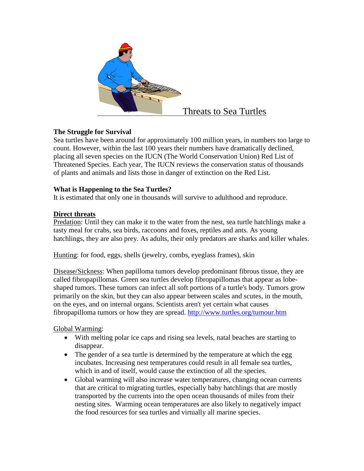

#### **The Struggle for Survival**

Sea turtles have been around for approximately 100 million years, in numbers too large to count. However, within the last 100 years their numbers have dramatically declined, placing all seven species on the IUCN (The World Conservation Union) Red List of Threatened Species. Each year, The IUCN reviews the conservation status of thousands of plants and animals and lists those in danger of extinction on the Red List.

#### **What is Happening to the Sea Turtles?**

It is estimated that only one in thousands will survive to adulthood and reproduce.

#### **Direct threats**

Predation: Until they can make it to the water from the nest, sea turtle hatchlings make a tasty meal for crabs, sea birds, raccoons and foxes, reptiles and ants. As young hatchlings, they are also prey. As adults, their only predators are sharks and killer whales.

Hunting: for food, eggs, shells (jewelry, combs, eyeglass frames), skin

Disease/Sickness: When papilloma tumors develop predominant fibrous tissue, they are called fibropapillomas. Green sea turtles develop fibropapillomas that appear as lobeshaped tumors. These tumors can infect all soft portions of a turtle's body. Tumors grow primarily on the skin, but they can also appear between scales and scutes, in the mouth, on the eyes, and on internal organs. Scientists aren't yet certain what causes fibropapilloma tumors or how they are spread.<http://www.turtles.org/tumour.htm>

Global Warming:

- With melting polar ice caps and rising sea levels, natal beaches are starting to disappear.
- The gender of a sea turtle is determined by the temperature at which the egg incubates. Increasing nest temperatures could result in all female sea turtles, which in and of itself, would cause the extinction of all the species.
- Global warming will also increase water temperatures, changing ocean currents that are critical to migrating turtles, especially baby hatchlings that are mostly transported by the currents into the open ocean thousands of miles from their nesting sites. Warming ocean temperatures are also likely to negatively impact the food resources for sea turtles and virtually all marine species.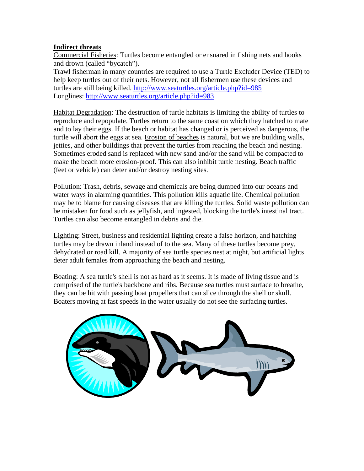#### **Indirect threats**

Commercial Fisheries: Turtles become entangled or ensnared in fishing nets and hooks and drown (called "bycatch").

Trawl fisherman in many countries are required to use a Turtle Excluder Device (TED) to help keep turtles out of their nets. However, not all fishermen use these devices and turtles are still being killed. <http://www.seaturtles.org/article.php?id=985> Longlines: <http://www.seaturtles.org/article.php?id=983>

Habitat Degradation: The destruction of turtle habitats is limiting the ability of turtles to reproduce and repopulate. Turtles return to the same coast on which they hatched to mate and to lay their eggs. If the beach or habitat has changed or is perceived as dangerous, the turtle will abort the eggs at sea. Erosion of beaches is natural, but we are building walls, jetties, and other buildings that prevent the turtles from reaching the beach and nesting. Sometimes eroded sand is replaced with new sand and/or the sand will be compacted to make the beach more erosion-proof. This can also inhibit turtle nesting. Beach traffic (feet or vehicle) can deter and/or destroy nesting sites.

Pollution: Trash, debris, sewage and chemicals are being dumped into our oceans and water ways in alarming quantities. This pollution kills aquatic life. Chemical pollution may be to blame for causing diseases that are killing the turtles. Solid waste pollution can be mistaken for food such as jellyfish, and ingested, blocking the turtle's intestinal tract. Turtles can also become entangled in debris and die.

Lighting: Street, business and residential lighting create a false horizon, and hatching turtles may be drawn inland instead of to the sea. Many of these turtles become prey, dehydrated or road kill. A majority of sea turtle species nest at night, but artificial lights deter adult females from approaching the beach and nesting.

Boating: A sea turtle's shell is not as hard as it seems. It is made of living tissue and is comprised of the turtle's backbone and ribs. Because sea turtles must surface to breathe, they can be hit with passing boat propellers that can slice through the shell or skull. Boaters moving at fast speeds in the water usually do not see the surfacing turtles.

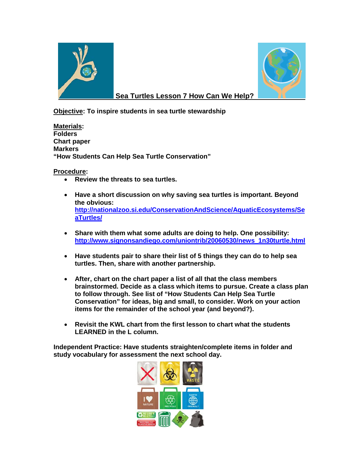



#### **Sea Turtles Lesson 7 How Can We Help?**

**Objective: To inspire students in sea turtle stewardship**

**Materials: Folders Chart paper Markers "How Students Can Help Sea Turtle Conservation"**

**Procedure:**

- **Review the threats to sea turtles.**
- **Have a short discussion on why saving sea turtles is important. Beyond the obvious: [http://nationalzoo.si.edu/ConservationAndScience/AquaticEcosystems/Se](http://nationalzoo.si.edu/ConservationAndScience/AquaticEcosystems/SeaTurtles/) [aTurtles/](http://nationalzoo.si.edu/ConservationAndScience/AquaticEcosystems/SeaTurtles/)**
- **Share with them what some adults are doing to help. One possibility: [http://www.signonsandiego.com/uniontrib/20060530/news\\_1n30turtle.html](http://www.signonsandiego.com/uniontrib/20060530/news_1n30turtle.html)**
- **Have students pair to share their list of 5 things they can do to help sea turtles. Then, share with another partnership.**
- **After, chart on the chart paper a list of all that the class members brainstormed. Decide as a class which items to pursue. Create a class plan to follow through. See list of "How Students Can Help Sea Turtle Conservation" for ideas, big and small, to consider. Work on your action items for the remainder of the school year (and beyond?).**
- **Revisit the KWL chart from the first lesson to chart what the students LEARNED in the L column.**

**Independent Practice: Have students straighten/complete items in folder and study vocabulary for assessment the next school day.**

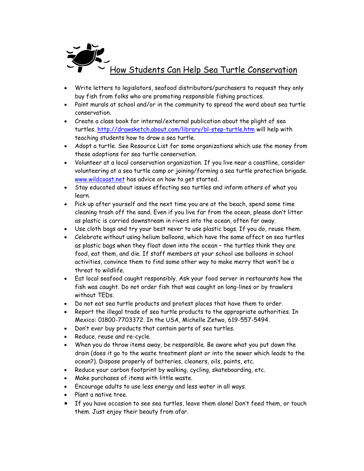

- Write letters to legislators, seafood distributors/purchasers to request they only buy fish from folks who are promoting responsible fishing practices.
- Paint murals at school and/or in the community to spread the word about sea turtle conservation.
- Create a class book for internal/external publication about the plight of sea turtles.<http://drawsketch.about.com/library/bl-step-turtle.htm> will help with teaching students how to draw a sea turtle.
- Adopt a turtle. See Resource List for some organizations which use the money from these adoptions for sea turtle conservation.
- Volunteer at a local conservation organization. If you live near a coastline, consider volunteering at a sea turtle camp or joining/forming a sea turtle protection brigade. [www.wildcoast.net](http://www.wildcoast.net/) has advice on how to get started.
- Stay educated about issues effecting sea turtles and inform others of what you learn.
- Pick up after yourself and the next time you are at the beach, spend some time cleaning trash off the sand. Even if you live far from the ocean, please don't litter as plastic is carried downstream in rivers into the ocean, often far away.
- Use cloth bags and try your best never to use plastic bags. If you do, reuse them.
- Celebrate without using helium balloons, which have the same affect on sea turtles as plastic bags when they float down into the ocean – the turtles think they are food, eat them, and die. If staff members at your school use balloons in school activities, convince them to find some other way to make merry that won't be a threat to wildlife.
- Eat local seafood caught responsibly. Ask your food server in restaurants how the fish was caught. Do not order fish that was caught on long-lines or by trawlers without TEDs.
- Do not eat sea turtle products and protest places that have them to order.
- Report the illegal trade of sea turtle products to the appropriate authorities. In Mexico: 01800-7703372. In the USA, Michelle Zetwo, 619-557-5494.
- Don't ever buy products that contain parts of sea turtles.
- Reduce, reuse and re-cycle.
- When you do throw items away, be responsible. Be aware what you put down the drain (does it go to the waste treatment plant or into the sewer which leads to the ocean?). Dispose properly of batteries, cleaners, oils, paints, etc.
- Reduce your carbon footprint by walking, cycling, skateboarding, etc.
- Make purchases of items with little waste.
- Encourage adults to use less energy and less water in all ways.
- Plant a native tree.
- If you have occasion to see sea turtles, leave them alone! Don't feed them, or touch them. Just enjoy their beauty from afar.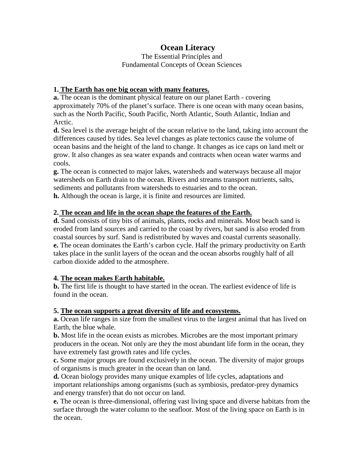## **Ocean Literacy**

The Essential Principles and Fundamental Concepts of Ocean Sciences

#### **1. The Earth has one big ocean with many features.**

**a.** The ocean is the dominant physical feature on our planet Earth - covering approximately 70% of the planet's surface. There is one ocean with many ocean basins, such as the North Pacific, South Pacific, North Atlantic, South Atlantic, Indian and Arctic.

**d.** Sea level is the average height of the ocean relative to the land, taking into account the differences caused by tides. Sea level changes as plate tectonics cause the volume of ocean basins and the height of the land to change. It changes as ice caps on land melt or grow. It also changes as sea water expands and contracts when ocean water warms and cools.

**g.** The ocean is connected to major lakes, watersheds and waterways because all major watersheds on Earth drain to the ocean. Rivers and streams transport nutrients, salts, sediments and pollutants from watersheds to estuaries and to the ocean. **h.** Although the ocean is large, it is finite and resources are limited.

#### **2. The ocean and life in the ocean shape the features of the Earth.**

**d.** Sand consists of tiny bits of animals, plants, rocks and minerals. Most beach sand is eroded from land sources and carried to the coast by rivers, but sand is also eroded from coastal sources by surf. Sand is redistributed by waves and coastal currents seasonally. **e.** The ocean dominates the Earth's carbon cycle. Half the primary productivity on Earth takes place in the sunlit layers of the ocean and the ocean absorbs roughly half of all carbon dioxide added to the atmosphere.

#### **4. The ocean makes Earth habitable.**

**b.** The first life is thought to have started in the ocean. The earliest evidence of life is found in the ocean.

#### **5. The ocean supports a great diversity of life and ecosystems.**

**a.** Ocean life ranges in size from the smallest virus to the largest animal that has lived on Earth, the blue whale.

**b.** Most life in the ocean exists as microbes. Microbes are the most important primary producers in the ocean. Not only are they the most abundant life form in the ocean, they have extremely fast growth rates and life cycles.

**c.** Some major groups are found exclusively in the ocean. The diversity of major groups of organisms is much greater in the ocean than on land.

**d.** Ocean biology provides many unique examples of life cycles, adaptations and important relationships among organisms (such as symbiosis, predator-prey dynamics and energy transfer) that do not occur on land.

**e.** The ocean is three-dimensional, offering vast living space and diverse habitats from the surface through the water column to the seafloor. Most of the living space on Earth is in the ocean.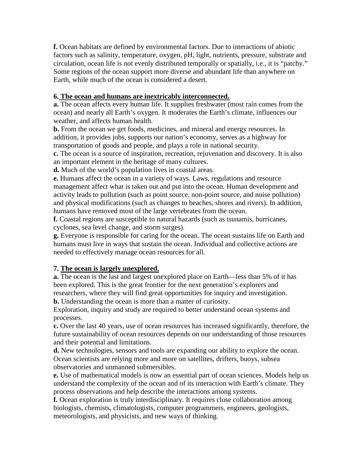**f.** Ocean habitats are defined by environmental factors. Due to interactions of abiotic factors such as salinity, temperature, oxygen, pH, light, nutrients, pressure, substrate and circulation, ocean life is not evenly distributed temporally or spatially, i.e., it is "patchy." Some regions of the ocean support more diverse and abundant life than anywhere on Earth, while much of the ocean is considered a desert.

#### **6. The ocean and humans are inextricably interconnected.**

**a.** The ocean affects every human life. It supplies freshwater (most rain comes from the ocean) and nearly all Earth's oxygen. It moderates the Earth's climate, influences our weather, and affects human health.

**b.** From the ocean we get foods, medicines, and mineral and energy resources. In addition, it provides jobs, supports our nation's economy, serves as a highway for transportation of goods and people, and plays a role in national security.

**c.** The ocean is a source of inspiration, recreation, rejuvenation and discovery. It is also an important element in the heritage of many cultures.

**d.** Much of the world's population lives in coastal areas.

**e.** Humans affect the ocean in a variety of ways. Laws, regulations and resource management affect what is taken out and put into the ocean. Human development and activity leads to pollution (such as point source, non-point source, and noise pollution) and physical modifications (such as changes to beaches, shores and rivers). In addition, humans have removed most of the large vertebrates from the ocean.

**f.** Coastal regions are susceptible to natural hazards (such as tsunamis, hurricanes, cyclones, sea level change, and storm surges).

**g.** Everyone is responsible for caring for the ocean. The ocean sustains life on Earth and humans must live in ways that sustain the ocean. Individual and collective actions are needed to effectively manage ocean resources for all.

#### **7. The ocean is largely unexplored.**

**a.** The ocean is the last and largest unexplored place on Earth—less than 5% of it has been explored. This is the great frontier for the next generation's explorers and researchers, where they will find great opportunities for inquiry and investigation. **b.** Understanding the ocean is more than a matter of curiosity.

Exploration, inquiry and study are required to better understand ocean systems and processes.

**c.** Over the last 40 years, use of ocean resources has increased significantly, therefore, the future sustainability of ocean resources depends on our understanding of those resources and their potential and limitations.

**d.** New technologies, sensors and tools are expanding our ability to explore the ocean. Ocean scientists are relying more and more on satellites, drifters, buoys, subsea observatories and unmanned submersibles.

**e.** Use of mathematical models is now an essential part of ocean sciences. Models help us understand the complexity of the ocean and of its interaction with Earth's climate. They process observations and help describe the interactions among systems.

**f.** Ocean exploration is truly interdisciplinary. It requires close collaboration among biologists, chemists, climatologists, computer programmers, engineers, geologists, meteorologists, and physicists, and new ways of thinking.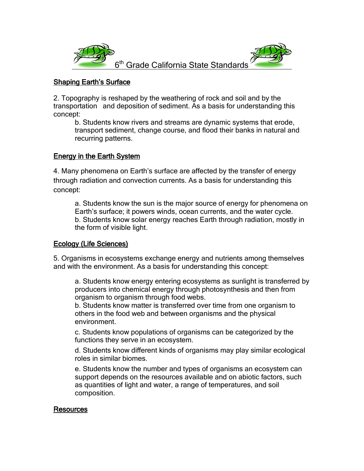

#### Shaping Earth's Surface

2. Topography is reshaped by the weathering of rock and soil and by the transportation and deposition of sediment. As a basis for understanding this concept:

b. Students know rivers and streams are dynamic systems that erode, transport sediment, change course, and flood their banks in natural and recurring patterns.

#### Energy in the Earth System

4. Many phenomena on Earth's surface are affected by the transfer of energy through radiation and convection currents. As a basis for understanding this concept:

a. Students know the sun is the major source of energy for phenomena on Earth's surface; it powers winds, ocean currents, and the water cycle. b. Students know solar energy reaches Earth through radiation, mostly in the form of visible light.

#### Ecology (Life Sciences)

5. Organisms in ecosystems exchange energy and nutrients among themselves and with the environment. As a basis for understanding this concept:

a. Students know energy entering ecosystems as sunlight is transferred by producers into chemical energy through photosynthesis and then from organism to organism through food webs.

b. Students know matter is transferred over time from one organism to others in the food web and between organisms and the physical environment.

c. Students know populations of organisms can be categorized by the functions they serve in an ecosystem.

d. Students know different kinds of organisms may play similar ecological roles in similar biomes.

e. Students know the number and types of organisms an ecosystem can support depends on the resources available and on abiotic factors, such as quantities of light and water, a range of temperatures, and soil composition.

#### Resources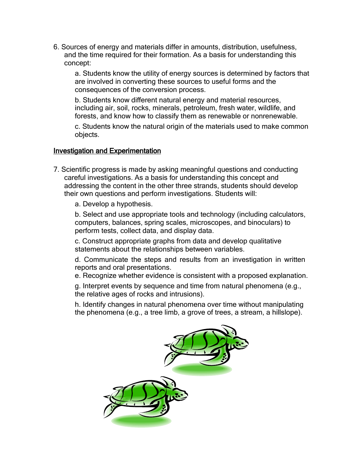6. Sources of energy and materials differ in amounts, distribution, usefulness, and the time required for their formation. As a basis for understanding this concept:

a. Students know the utility of energy sources is determined by factors that are involved in converting these sources to useful forms and the consequences of the conversion process.

b. Students know different natural energy and material resources, including air, soil, rocks, minerals, petroleum, fresh water, wildlife, and forests, and know how to classify them as renewable or nonrenewable.

c. Students know the natural origin of the materials used to make common objects.

#### Investigation and Experimentation

- 7. Scientific progress is made by asking meaningful questions and conducting careful investigations. As a basis for understanding this concept and addressing the content in the other three strands, students should develop their own questions and perform investigations. Students will:
	- a. Develop a hypothesis.

b. Select and use appropriate tools and technology (including calculators, computers, balances, spring scales, microscopes, and binoculars) to perform tests, collect data, and display data.

c. Construct appropriate graphs from data and develop qualitative statements about the relationships between variables.

d. Communicate the steps and results from an investigation in written reports and oral presentations.

e. Recognize whether evidence is consistent with a proposed explanation.

g. Interpret events by sequence and time from natural phenomena (e.g., the relative ages of rocks and intrusions).

h. Identify changes in natural phenomena over time without manipulating the phenomena (e.g., a tree limb, a grove of trees, a stream, a hillslope).

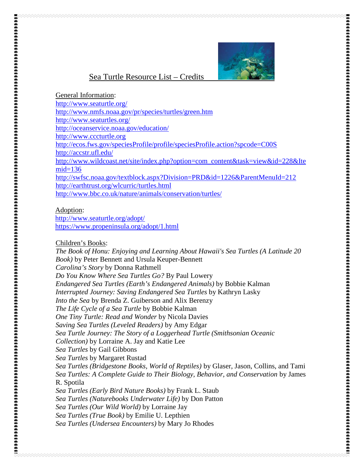

#### Sea Turtle Resource List – Credits

General Information:

<http://www.seaturtle.org/>

<http://www.nmfs.noaa.gov/pr/species/turtles/green.htm>

<http://www.seaturtles.org/>

<http://oceanservice.noaa.gov/education/>

[http://www.cccturtle.org](http://www.cccturtle.org/)

<http://ecos.fws.gov/speciesProfile/profile/speciesProfile.action?spcode=C00S>

<http://accstr.ufl.edu/>

[http://www.wildcoast.net/site/index.php?option=com\\_content&task=view&id=228&Ite](http://www.wildcoast.net/site/index.php?option=com_content&task=view&id=228&Itemid=136)  $mid=136$ 

<http://swfsc.noaa.gov/textblock.aspx?Division=PRD&id=1226&ParentMenuId=212> <http://earthtrust.org/wlcurric/turtles.html>

<http://www.bbc.co.uk/nature/animals/conservation/turtles/>

#### Adoption:

<http://www.seaturtle.org/adopt/> <https://www.propeninsula.org/adopt/1.html>

Children's Books:

*[The Book of Honu: Enjoying and Learning About Hawaii's Sea Turtles \(A Latitude 20](http://www.amazon.com/Book-Honu-Enjoying-Learning-Latitude/dp/0824831276/ref=sr_1_18?ie=UTF8&s=books&qid=1248978002&sr=1-18)  [Book\)](http://www.amazon.com/Book-Honu-Enjoying-Learning-Latitude/dp/0824831276/ref=sr_1_18?ie=UTF8&s=books&qid=1248978002&sr=1-18)* by Peter Bennett and Ursula Keuper-Bennett *Carolina's Story* by Donna Rathmell *Do You Know Where Sea Turtles Go?* By Paul Lowery *Endangered Sea Turtles (Earth's Endangered Animals)* by Bobbie Kalman *Interrupted Journey: Saving Endangered Sea Turtles* by Kathryn Lasky *[Into the Sea](http://www.amazon.com/Into-Sea-Brenda-Z-Guiberson/dp/0805064818/ref=sr_1_5?ie=UTF8&s=books&qid=1248977807&sr=1-5)* by Brenda Z. Guiberson and Alix Berenzy *The Life Cycle of a Sea Turtle* by Bobbie Kalman *One Tiny Turtle: Read and Wonder* by Nicola Davies *[Saving Sea Turtles \(Leveled Readers\)](http://www.amazon.com/Saving-Sea-Turtles-Leveled-Readers/dp/0618295984/ref=sr_1_12?ie=UTF8&qid=1248976630&sr=8-12)* by Amy Edgar *[Sea Turtle Journey: The Story of a Loggerhead Turtle \(Smithsonian Oceanic](http://www.amazon.com/Sea-Turtle-Journey-Loggerhead-Smithsonian/dp/1568991908/ref=sr_1_8?ie=UTF8&qid=1248976630&sr=8-8)  [Collection\)](http://www.amazon.com/Sea-Turtle-Journey-Loggerhead-Smithsonian/dp/1568991908/ref=sr_1_8?ie=UTF8&qid=1248976630&sr=8-8)* by Lorraine A. Jay and Katie Lee *Sea Turtles* by Gail Gibbons *Sea Turtles* by Margaret Rustad *[Sea Turtles \(Bridgestone Books, World of Reptiles\)](http://www.amazon.com/Turtles-Bridgestone-Books-World-Reptiles/dp/0736854231/ref=sr_1_10?ie=UTF8&qid=1248976630&sr=8-10)* by Glaser, Jason, Collins, and Tami *[Sea Turtles: A Complete Guide to Their Biology, Behavior, and Conservation](http://www.amazon.com/Sea-Turtles-Complete-Behavior-Conservation/dp/0801880076/ref=sr_1_2?ie=UTF8&s=books&qid=1248977807&sr=1-2)* by James R. Spotila *Sea Turtles (Early Bird Nature Books)* by Frank L. Staub *[Sea Turtles \(Naturebooks Underwater Life\)](http://www.amazon.com/Sea-Turtles-Naturebooks-Underwater-Life/dp/1567661882/ref=sr_1_16?ie=UTF8&qid=1248976630&sr=8-16)* by Don Patton *Sea Turtles (Our Wild World)* by Lorraine Jay *Sea Turtles (True Book)* by Emilie U. Lepthien *Sea Turtles (Undersea Encounters)* by Mary Jo Rhodes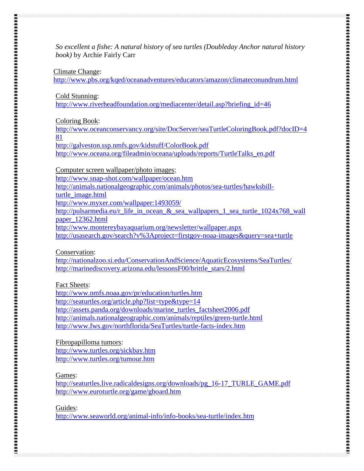*[So excellent a fishe: A natural history of sea turtles \(Doubleday Anchor natural history](http://www.amazon.com/So-excellent-fishe-natural-Doubleday/dp/0385043015/ref=sr_1_22?ie=UTF8&s=books&qid=1248978002&sr=1-22)  [book\)](http://www.amazon.com/So-excellent-fishe-natural-Doubleday/dp/0385043015/ref=sr_1_22?ie=UTF8&s=books&qid=1248978002&sr=1-22)* by Archie Fairly Carr

#### Climate Change:

<http://www.pbs.org/kqed/oceanadventures/educators/amazon/climateconundrum.html>

Cold Stunning:

[http://www.riverheadfoundation.org/mediacenter/detail.asp?briefing\\_id=46](http://www.riverheadfoundation.org/mediacenter/detail.asp?briefing_id=46)

Coloring Book:

[http://www.oceanconservancy.org/site/DocServer/seaTurtleColoringBook.pdf?docID=4](http://www.oceanconservancy.org/site/DocServer/seaTurtleColoringBook.pdf?docID=481) [81](http://www.oceanconservancy.org/site/DocServer/seaTurtleColoringBook.pdf?docID=481)

<http://galveston.ssp.nmfs.gov/kidstuff/ColorBook.pdf>

[http://www.oceana.org/fileadmin/oceana/uploads/reports/TurtleTalks\\_en.pdf](http://www.oceana.org/fileadmin/oceana/uploads/reports/TurtleTalks_en.pdf)

Computer screen wallpaper/photo images:

<http://www.snap-shot.com/wallpaper/ocean.htm>

[http://animals.nationalgeographic.com/animals/photos/sea-turtles/hawksbill-](http://animals.nationalgeographic.com/animals/photos/sea-turtles/hawksbill-turtle_image.html)

[turtle\\_image.html](http://animals.nationalgeographic.com/animals/photos/sea-turtles/hawksbill-turtle_image.html)

<http://www.myxer.com/wallpaper:1493059/>

[http://pulsarmedia.eu/r\\_life\\_in\\_ocean\\_&\\_sea\\_wallpapers\\_1\\_sea\\_turtle\\_1024x768\\_wall](http://pulsarmedia.eu/r_life_in_ocean_&_sea_wallpapers_1_sea_turtle_1024x768_wallpaper_12362.html) [paper\\_12362.html](http://pulsarmedia.eu/r_life_in_ocean_&_sea_wallpapers_1_sea_turtle_1024x768_wallpaper_12362.html)

<http://www.montereybayaquarium.org/newsletter/wallpaper.aspx>

<http://usasearch.gov/search?v%3Aproject=firstgov-noaa-images&query=sea+turtle>

Conservation:

<http://nationalzoo.si.edu/ConservationAndScience/AquaticEcosystems/SeaTurtles/> [http://marinediscovery.arizona.edu/lessonsF00/brittle\\_stars/2.html](http://marinediscovery.arizona.edu/lessonsF00/brittle_stars/2.html)

Fact Sheets:

<http://www.nmfs.noaa.gov/pr/education/turtles.htm> <http://seaturtles.org/article.php?list=type&type=14> [http://assets.panda.org/downloads/marine\\_turtles\\_factsheet2006.pdf](http://assets.panda.org/downloads/marine_turtles_factsheet2006.pdf) <http://animals.nationalgeographic.com/animals/reptiles/green-turtle.html> <http://www.fws.gov/northflorida/SeaTurtles/turtle-facts-index.htm>

Fibropapilloma tumors: <http://www.turtles.org/sickbay.htm>

<http://www.turtles.org/tumour.htm>

Games:

[http://seaturtles.live.radicaldesigns.org/downloads/pg\\_16-17\\_TURLE\\_GAME.pdf](http://seaturtles.live.radicaldesigns.org/downloads/pg_16-17_TURLE_GAME.pdf) <http://www.euroturtle.org/game/gboard.htm>

Guides:

<http://www.seaworld.org/animal-info/info-books/sea-turtle/index.htm>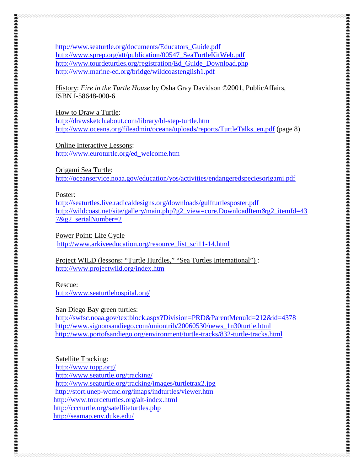[http://www.seaturtle.org/documents/Educators\\_Guide.pdf](http://www.seaturtle.org/documents/Educators_Guide.pdf) [http://www.sprep.org/att/publication/00547\\_SeaTurtleKitWeb.pdf](http://www.sprep.org/att/publication/00547_SeaTurtleKitWeb.pdf) [http://www.tourdeturtles.org/registration/Ed\\_Guide\\_Download.php](http://www.tourdeturtles.org/registration/Ed_Guide_Download.php) <http://www.marine-ed.org/bridge/wildcoastenglish1.pdf>

History: *Fire in the Turtle House* by Osha Gray Davidson ©2001, PublicAffairs, ISBN I-58648-000-6

How to Draw a Turtle:

<http://drawsketch.about.com/library/bl-step-turtle.htm> [http://www.oceana.org/fileadmin/oceana/uploads/reports/TurtleTalks\\_en.pdf](http://www.oceana.org/fileadmin/oceana/uploads/reports/TurtleTalks_en.pdf) (page 8)

Online Interactive Lessons: [http://www.euroturtle.org/ed\\_welcome.htm](http://www.euroturtle.org/ed_welcome.htm)

Origami Sea Turtle:

<http://oceanservice.noaa.gov/education/yos/activities/endangeredspeciesorigami.pdf>

#### Poster:

<http://seaturtles.live.radicaldesigns.org/downloads/gulfturtlesposter.pdf> [http://wildcoast.net/site/gallery/main.php?g2\\_view=core.DownloadItem&g2\\_itemId=43](http://wildcoast.net/site/gallery/main.php?g2_view=core.DownloadItem&g2_itemId=437&g2_serialNumber=2) [7&g2\\_serialNumber=2](http://wildcoast.net/site/gallery/main.php?g2_view=core.DownloadItem&g2_itemId=437&g2_serialNumber=2)

Power Point: Life Cycle

[http://www.arkiveeducation.org/resource\\_list\\_sci11-14.html](http://www.arkiveeducation.org/resource_list_sci11-14.html)

Project WILD (lessons: "Turtle Hurdles," "Sea Turtles International") : <http://www.projectwild.org/index.htm>

Rescue: <http://www.seaturtlehospital.org/>

#### San Diego Bay green turtles:

<http://swfsc.noaa.gov/textblock.aspx?Division=PRD&ParentMenuId=212&id=4378> [http://www.signonsandiego.com/uniontrib/20060530/news\\_1n30turtle.html](http://www.signonsandiego.com/uniontrib/20060530/news_1n30turtle.html) <http://www.portofsandiego.org/environment/turtle-tracks/832-turtle-tracks.html>

#### Satellite Tracking:

<http://www.topp.org/> <http://www.seaturtle.org/tracking/> <http://www.seaturtle.org/tracking/images/turtletrax2.jpg> <http://stort.unep-wcmc.org/imaps/indturtles/viewer.htm> <http://www.tourdeturtles.org/alt-index.html> <http://cccturtle.org/satelliteturtles.php> <http://seamap.env.duke.edu/>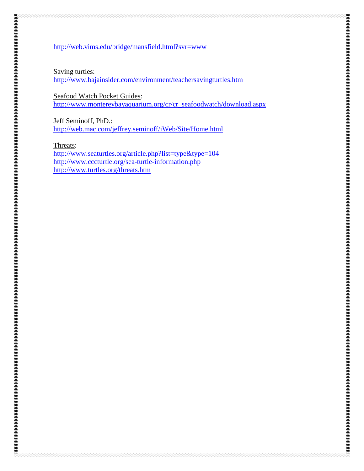#### <http://web.vims.edu/bridge/mansfield.html?svr=www>

Saving turtles:

<http://www.bajainsider.com/environment/teachersavingturtles.htm>

Seafood Watch Pocket Guides: [http://www.montereybayaquarium.org/cr/cr\\_seafoodwatch/download.aspx](http://www.montereybayaquarium.org/cr/cr_seafoodwatch/download.aspx)

Jeff Seminoff, PhD.: <http://web.mac.com/jeffrey.seminoff/iWeb/Site/Home.html>

Threats:

<http://www.seaturtles.org/article.php?list=type&type=104> <http://www.cccturtle.org/sea-turtle-information.php> <http://www.turtles.org/threats.htm>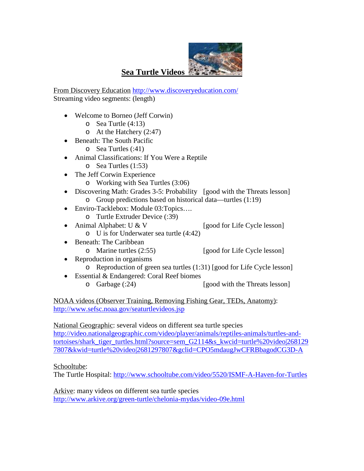

## **Sea Turtle Videos**

From Discovery Education <http://www.discoveryeducation.com/> Streaming video segments: (length)

- Welcome to Borneo (Jeff Corwin)
	- o Sea Turtle (4:13)
	- o At the Hatchery (2:47)
- Beneath: The South Pacific
	- o Sea Turtles (:41)
- Animal Classifications: If You Were a Reptile o Sea Turtles (1:53)
- The Jeff Corwin Experience
	- o Working with Sea Turtles (3:06)
- Discovering Math: Grades 3-5: Probability [good with the Threats lesson] o Group predictions based on historical data—turtles (1:19)
- Enviro-Tacklebox: Module 03:Topics....
	- o Turtle Extruder Device (:39)<br>Animal Alphabet: U & V
- Animal Alphabet: U & V [good for Life Cycle lesson]
	- o U is for Underwater sea turtle (4:42)
- Beneath: The Caribbean
	-
	- o Marine turtles (2:55) [good for Life Cycle lesson]
- Reproduction in organisms
	- o Reproduction of green sea turtles (1:31) [good for Life Cycle lesson]
- Essential & Endangered: Coral Reef biomes o Garbage (:24) [good with the Threats lesson]

NOAA videos (Observer Training, Removing Fishing Gear, TEDs, Anatomy): <http://www.sefsc.noaa.gov/seaturtlevideos.jsp>

National Geographic: several videos on different sea turtle species [http://video.nationalgeographic.com/video/player/animals/reptiles-animals/turtles-and](http://video.nationalgeographic.com/video/player/animals/reptiles-animals/turtles-and-tortoises/shark_tiger_turtles.html?source=sem_G2114&s_kwcid=turtle%20video|2681297807&kwid=turtle%20video|2681297807&gclid=CPO5mdaugJwCFRBbagodCG3D-A)[tortoises/shark\\_tiger\\_turtles.html?source=sem\\_G2114&s\\_kwcid=turtle%20video|268129](http://video.nationalgeographic.com/video/player/animals/reptiles-animals/turtles-and-tortoises/shark_tiger_turtles.html?source=sem_G2114&s_kwcid=turtle%20video|2681297807&kwid=turtle%20video|2681297807&gclid=CPO5mdaugJwCFRBbagodCG3D-A) [7807&kwid=turtle%20video|2681297807&gclid=CPO5mdaugJwCFRBbagodCG3D-A](http://video.nationalgeographic.com/video/player/animals/reptiles-animals/turtles-and-tortoises/shark_tiger_turtles.html?source=sem_G2114&s_kwcid=turtle%20video|2681297807&kwid=turtle%20video|2681297807&gclid=CPO5mdaugJwCFRBbagodCG3D-A)

#### Schooltube:

The Turtle Hospital:<http://www.schooltube.com/video/5520/ISMF-A-Haven-for-Turtles>

Arkive: many videos on different sea turtle species <http://www.arkive.org/green-turtle/chelonia-mydas/video-09e.html>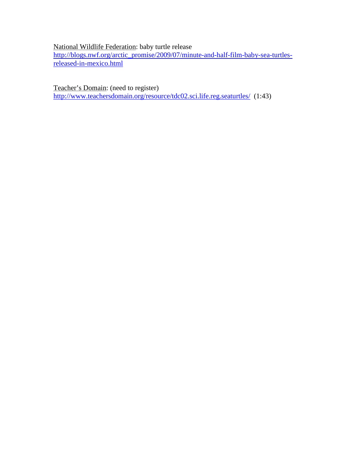### National Wildlife Federation: baby turtle release

[http://blogs.nwf.org/arctic\\_promise/2009/07/minute-and-half-film-baby-sea-turtles](http://blogs.nwf.org/arctic_promise/2009/07/minute-and-half-film-baby-sea-turtles-released-in-mexico.html)[released-in-mexico.html](http://blogs.nwf.org/arctic_promise/2009/07/minute-and-half-film-baby-sea-turtles-released-in-mexico.html)

Teacher's Domain: (need to register) <http://www.teachersdomain.org/resource/tdc02.sci.life.reg.seaturtles/>(1:43)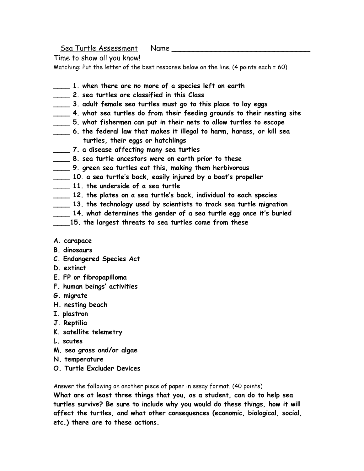Sea Turtle Assessment Name

Time to show all you know!

Matching: Put the letter of the best response below on the line. (4 points each = 60)

- **\_\_\_\_ 1. when there are no more of a species left on earth**
- **\_\_\_\_ 2. sea turtles are classified in this Class**
- **\_\_\_\_ 3. adult female sea turtles must go to this place to lay eggs**
- **\_\_\_\_ 4. what sea turtles do from their feeding grounds to their nesting site**
- **\_\_\_\_ 5. what fishermen can put in their nets to allow turtles to escape**
- **\_\_\_\_ 6. the federal law that makes it illegal to harm, harass, or kill sea turtles, their eggs or hatchlings**
- **\_\_\_\_ 7. a disease affecting many sea turtles**
- **\_\_\_\_ 8. sea turtle ancestors were on earth prior to these**
- **\_\_\_\_ 9. green sea turtles eat this, making them herbivorous**
- **\_\_\_\_ 10. a sea turtle's back, easily injured by a boat's propeller**
- **\_\_\_\_ 11. the underside of a sea turtle**
- **\_\_\_\_ 12. the plates on a sea turtle's back, individual to each species**
- **\_\_\_\_ 13. the technology used by scientists to track sea turtle migration**
- **\_\_\_\_ 14. what determines the gender of a sea turtle egg once it's buried**
- **\_\_\_\_15. the largest threats to sea turtles come from these**

#### **A. carapace**

- **B. dinosaurs**
- **C. Endangered Species Act**
- **D. extinct**
- **E. FP or fibropapilloma**
- **F. human beings' activities**
- **G. migrate**
- **H. nesting beach**
- **I. plastron**
- **J. Reptilia**
- **K. satellite telemetry**
- **L. scutes**
- **M. sea grass and/or algae**
- **N. temperature**
- **O. Turtle Excluder Devices**

Answer the following on another piece of paper in essay format. (40 points)

**What are at least three things that you, as a student, can do to help sea turtles survive? Be sure to include why you would do these things, how it will affect the turtles, and what other consequences (economic, biological, social, etc.) there are to these actions.**